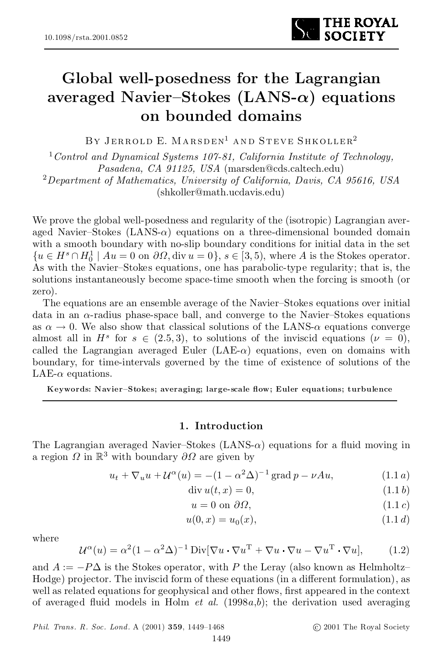

# Global well-posedness for the Lagrangian averaged Navier-Stokes (LANS- $\alpha$ ) equations on bounded domains

By Jerrold E. Marsden <sup>1</sup> and Steve Shkoller 2

<sup>1</sup>*Control and Dynamical Systems 107-81, California Institute of Technology, Pasadena, CA 91125, USA* (marsden@cds.caltech.edu) <sup>2</sup>*Department of Mathematics, University of California, Davis, CA 95616, USA* (shkoller@math.ucdavis.edu)

We prove the global well-posedness and regularity of the (isotropic) Lagrangian aver aged Navier-Stokes  $(LANS-\alpha)$  equations on a three-dimensional bounded domain with a smooth boundary with no-slip boundary conditions for initial data in the set  $\{u \in H^s \cap H_0^1 \mid Au = 0 \text{ on } \partial\Omega, \text{div } u = 0\}, s \in [3, 5), \text{ where } A \text{ is the Stokes operator.}$ As with the Navier-Stokes equations, one has parabolic-type regularity; that is, the solutions instantaneously become space-time smooth when the forcing is smooth (or zero).

The equations are an ensemble average of the Navier-Stokes equations over initial data in an  $\alpha$ -radius phase-space ball, and converge to the Navier-Stokes equations as  $\alpha \to 0$ . We also show that classical solutions of the LANS- $\alpha$  equations converge almost all in  $H^s$  for  $s \in (2.5, 3)$ , to solutions of the inviscid equations  $(\nu = 0)$ , called the Lagrangian averaged Euler (LAE- $\alpha$ ) equations, even on domains with boundary, for time-intervals governed by the time of existence of solutions of the LAE- $\alpha$  equations.

Keywords: Navier-Stokes; averaging; large-scale flow; Euler equations; turbulence

# 1. Introduction

The Lagrangian averaged Navier-Stokes (LANS- $\alpha$ ) equations for a fluid moving in a region  $\Omega$  in  $\mathbb{R}^3$  with boundary  $\partial\Omega$  are given by

$$
u_t + \nabla_u u + \mathcal{U}^{\alpha}(u) = -(1 - \alpha^2 \Delta)^{-1} \operatorname{grad} p - \nu Au,
$$
 (1.1 a)

$$
\text{div } u(t, x) = 0,\tag{1.1 b}
$$

$$
u = 0 \text{ on } \partial\Omega,
$$
\n
$$
(1.1 c)
$$

$$
u(0, x) = u_0(x), \tag{1.1 d}
$$

where

$$
\mathcal{U}^{\alpha}(u) = \alpha^2 (1 - \alpha^2 \Delta)^{-1} \operatorname{Div}[\nabla u \cdot \nabla u^{\mathrm{T}} + \nabla u \cdot \nabla u - \nabla u^{\mathrm{T}} \cdot \nabla u],\tag{1.2}
$$

and  $A := -P\Delta$  is the Stokes operator, with P the Leray (also known as Helmholtz- $Hodge$ ) projector. The inviscid form of these equations (in a different formulation), as well as related equations for geophysical and other flows, first appeared in the context of averaged fluid models in Holm  $et \ al.$  (1998 $a,b$ ); the derivation used averaging

*Phil. Trans. R. Soc. Lond.* A (2001) 359, 1449-1468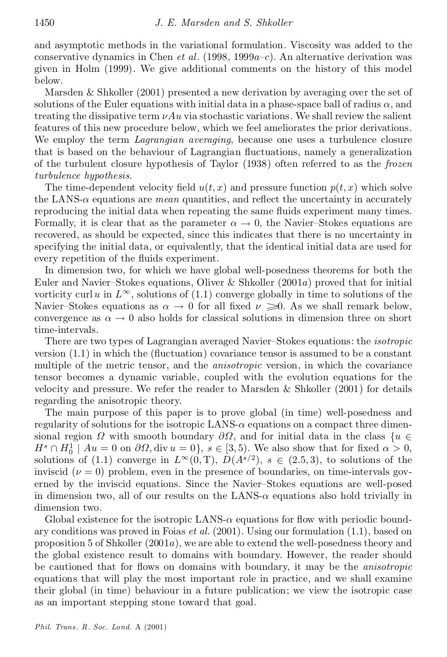and asymptotic methods in the variational formulation. Viscosity was added to the conservative dynamics in Chen *et al.* (1998, 1999 $a$ –*c*). An alternative derivation was given in Holm (1999). We give additional comments on the history of this model below.

Marsden & Shkoller (2001) presented a new derivation by averaging over the set of solutions of the Euler equations with initial data in a phase-space ball of radius  $\alpha$ , and treating the dissipative term  $\nu Au$  via stochastic variations. We shall review the salient features of this new procedure below, which we feel ameliorates the prior derivations. We employ the term *Lagrangian averaging*, because one uses a turbulence closure that is based on the behaviour of Lagrangian fluctuations, namely a generalization of the turbulent closure hypothesis of Taylor (1938) often referred to as the *frozen turbulence hypothesis*.

The time-dependent velocity field  $u(t, x)$  and pressure function  $p(t, x)$  which solve the LANS- $\alpha$  equations are *mean* quantities, and reflect the uncertainty in accurately reproducing the initial data when repeating the same fluids experiment many times. Formally, it is clear that as the parameter  $\alpha \to 0$ , the Navier-Stokes equations are recovered, as should be expected, since this indicates that there is no uncertainty in specifying the initial data, or equivalently, that the identical initial data are used for every repetition of the fluids experiment.

In dimension two, for which we have global well-posedness theorems for both the Euler and Navier-Stokes equations, Oliver & Shkoller  $(2001a)$  proved that for initial vorticity curl u in  $L^{\infty}$ , solutions of (1.1) converge globally in time to solutions of the Navier-Stokes equations as  $\alpha \to 0$  for all fixed  $\nu \geq 0$ . As we shall remark below, convergence as  $\alpha \to 0$  also holds for classical solutions in dimension three on short time-intervals.

There are two types of Lagrangian averaged Navier{Stokes equations: the *isotropic* version  $(1.1)$  in which the (fluctuation) covariance tensor is assumed to be a constant multiple of the metric tensor, and the *anisotropic* version, in which the covariance tensor becomes a dynamic variable, coupled with the evolution equations for the velocity and pressure. We refer the reader to Marsden  $\&$  Shkoller (2001) for details regarding the anisotropic theory.

The main purpose of this paper is to prove global (in time) well-posedness and regularity of solutions for the isotropic LANS- $\alpha$  equations on a compact three dimensional region  $\Omega$  with smooth boundary  $\partial\Omega$ , and for initial data in the class  $\{u \in$  $H^s \cap H_0^1 \mid Au = 0$  on  $\partial\Omega$ , div  $u = 0$ ,  $s \in [3, 5)$ . We also show that for fixed  $\alpha > 0$ , solutions of (1.1) converge in  $L^{\infty}(0,T)$ ,  $D(A^{s/2})$ ,  $s \in (2.5,3)$ , to solutions of the inviscid ( $\nu = 0$ ) problem, even in the presence of boundaries, on time-intervals governed by the inviscid equations. Since the Navier-Stokes equations are well-posed in dimension two, all of our results on the LANS- $\alpha$  equations also hold trivially in dimension two.

Global existence for the isotropic LANS- $\alpha$  equations for flow with periodic boundary conditions was proved in Foias *et al.* (2001). Using our formulation (1.1), based on proposition 5 of Shkoller  $(2001a)$ , we are able to extend the well-posedness theory and the global existence result to domains with boundary. However, the reader should be cautioned that for flows on domains with boundary, it may be the *anisotropic* equations that will play the most important role in practice, and we shall examine their global (in time) behaviour in a future publication; we view the isotropic case as an important stepping stone toward that goal.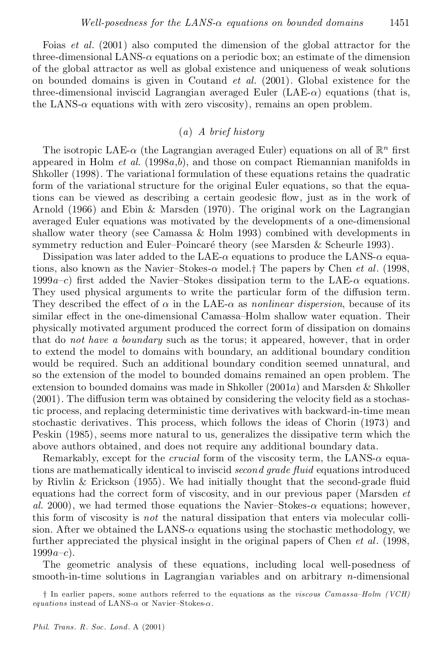Foias *et al.* (2001) also computed the dimension of the global attractor for the three-dimensional LANS- $\alpha$  equations on a periodic box; an estimate of the dimension of the global attractor as well as global existence and uniqueness of weak solutions on bounded domains is given in Coutand *et al.* (2001). Global existence for the three-dimensional inviscid Lagrangian averaged Euler  $(LAE-\alpha)$  equations (that is, the LANS- $\alpha$  equations with with zero viscosity), remains an open problem.

# (*a*) *A brief history*

The isotropic LAE- $\alpha$  (the Lagrangian averaged Euler) equations on all of  $\mathbb{R}^n$  first appeared in Holm *et al.* (1998a,b), and those on compact Riemannian manifolds in Shkoller (1998). The variational formulation of these equations retains the quadratic form of the variational structure for the original Euler equations, so that the equa tions can be viewed as describing a certain geodesic flow, just as in the work of Arnold (1966) and Ebin & Marsden (1970). The original work on the Lagrangian averaged Euler equations was motivated by the developments of a one-dimensional shallow water theory (see Camassa & Holm 1993) combined with developments in symmetry reduction and Euler-Poincaré theory (see Marsden  $\&$  Scheurle 1993).

Dissipation was later added to the LAE- $\alpha$  equations to produce the LANS- $\alpha$  equations, also known as the Navier-Stokes- $\alpha$  model.<sup>†</sup> The papers by Chen *et al.* (1998, 1999a-c) first added the Navier-Stokes dissipation term to the LAE- $\alpha$  equations. They used physical arguments to write the particular form of the diffusion term. They described the effect of  $\alpha$  in the LAE- $\alpha$  as *nonlinear dispersion*, because of its similar effect in the one-dimensional Camassa–Holm shallow water equation. Their physically motivated argument produced the correct form of dissipation on domains that do *not have a boundary* such as the torus; it appeared, however, that in order to extend the model to domains with boundary, an additional boundary condition would be required. Such an additional boundary condition seemed unnatural, and so the extension of the model to bounded domains remained an open problem. The extension to bounded domains was made in Shkoller  $(2001a)$  and Marsden & Shkoller  $(2001)$ . The diffusion term was obtained by considering the velocity field as a stochastic process, and replacing deterministic time derivatives with backward-in-time mean stochastic derivatives. This process, which follows the ideas of Chorin (1973) and Peskin (1985), seems more natural to us, generalizes the dissipative term which the above authors obtained, and does not require any additional boundary data.

Remarkably, except for the *crucial* form of the viscosity term, the LANS- $\alpha$  equations are mathematically identical to inviscid *second* grade fluid equations introduced by Rivlin  $\&$  Erickson (1955). We had initially thought that the second-grade fluid equations had the correct form of viscosity, and in our previous paper (Marsden *et al.* 2000), we had termed those equations the Navier-Stokes- $\alpha$  equations; however, this form of viscosity is *not* the natural dissipation that enters via molecular colli sion. After we obtained the LANS- $\alpha$  equations using the stochastic methodology, we further appreciated the physical insight in the original papers of Chen *et al*. (1998,  $1999a{-c}$ .

The geometric analysis of these equations, including local well-posedness of smooth-in-time solutions in Lagrangian variables and on arbitrary n-dimensional

y In earlier papers, some authors referred to the equations as the *viscous Camassa{Holm (VCH) equations* instead of LANS- $\alpha$  or Navier-Stokes- $\alpha$ .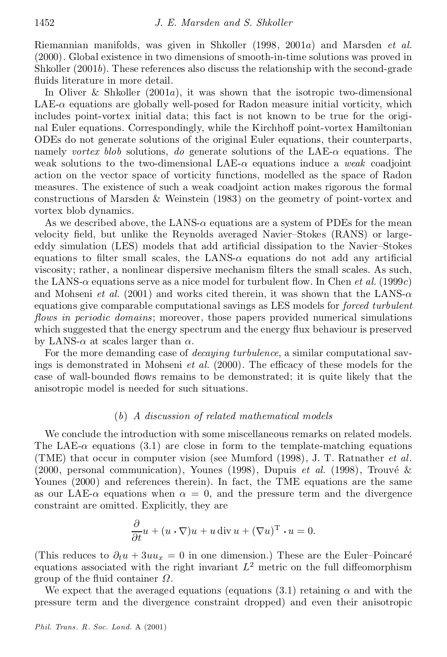Riemannian manifolds, was given in Shkoller (1998, 2001a) and Marsden *et al.* (2000). Global existence in two dimensions of smooth-in-time solutions was proved in Shkoller (2001b). These references also discuss the relationship with the second-grade fluids literature in more detail.

In Oliver & Shkoller  $(2001a)$ , it was shown that the isotropic two-dimensional  $LAE-\alpha$  equations are globally well-posed for Radon measure initial vorticity, which includes point-vortex initial data; this fact is not known to be true for the origi nal Euler equations. Correspondingly, while the Kirchhoff point-vortex Hamiltonian ODEs do not generate solutions of the original Euler equations, their counterparts, namely *vortex* blob solutions, *do* generate solutions of the LAE- $\alpha$  equations. The weak solutions to the two-dimensional LAE- $\alpha$  equations induce a *weak* coadjoint action on the vector space of vorticity functions, modelled as the space of Radon measures. The existence of such a weak coadjoint action makes rigorous the formal constructions of Marsden & Weinstein (1983) on the geometry of point-vortex and vortex blob dynamics.

As we described above, the LANS- $\alpha$  equations are a system of PDEs for the mean velocity field, but unlike the Reynolds averaged Navier-Stokes (RANS) or largeeddy simulation (LES) models that add artificial dissipation to the Navier-Stokes equations to filter small scales, the LANS- $\alpha$  equations do not add any artificial viscosity; rather, a nonlinear dispersive mechanism filters the small scales. As such, the LANS- $\alpha$  equations serve as a nice model for turbulent flow. In Chen *et al.* (1999*c*) and Mohseni *et al.* (2001) and works cited therein, it was shown that the LANS- $\alpha$ equations give comparable computational savings as LES models for *forced turbulent flows in periodic domains*; moreover, those papers provided numerical simulations which suggested that the energy spectrum and the energy flux behaviour is preserved by LANS- $\alpha$  at scales larger than  $\alpha$ .

For the more demanding case of *decaying turbulence*, a similar computational savings is demonstrated in Mohseni *et al.* (2000). The efficacy of these models for the case of wall-bounded flows remains to be demonstrated; it is quite likely that the anisotropic model is needed for such situations.

#### (*b*) *A discussion of related mathematical models*

We conclude the introduction with some miscellaneous remarks on related models. The LAE- $\alpha$  equations (3.1) are close in form to the template-matching equations (TME) that occur in computer vision (see Mumford (1998), J. T. Ratnather *et al*. (2000, personal communication), Younes (1998), Dupuis *et al.* (1998), Trouvé & Younes (2000) and references therein). In fact, the TME equations are the same as our LAE- $\alpha$  equations when  $\alpha = 0$ , and the pressure term and the divergence constraint are omitted. Explicitly, they are

$$
\frac{\partial}{\partial t}u + (u \cdot \nabla)u + u \operatorname{div} u + (\nabla u)^{\mathrm{T}} \cdot u = 0.
$$

(This reduces to  $\partial_t u + 3uu_x = 0$  in one dimension.) These are the Euler-Poincaré equations associated with the right invariant  $L^2$  metric on the full diffeomorphism group of the fluid container  $\Omega$ .

We expect that the averaged equations (equations (3.1) retaining  $\alpha$  and with the pressure term and the divergence constraint dropped) and even their anisotropic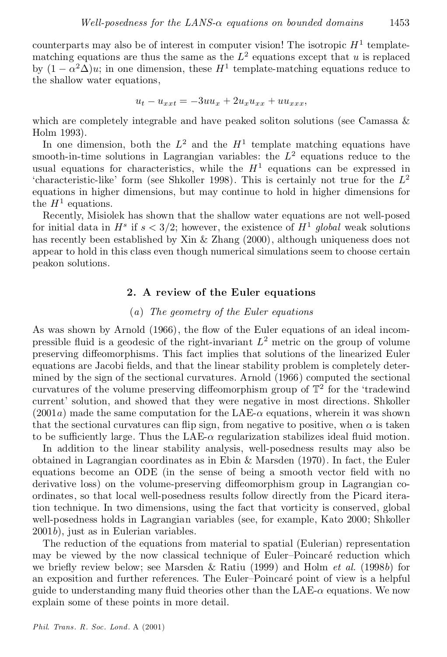counterparts may also be of interest in computer vision! The isotropic  $H^1$  templatematching equations are thus the same as the  $L^2$  equations except that u is replaced by  $(1 - \alpha^2 \Delta)u$ ; in one dimension, these  $H^1$  template-matching equations reduce to the shallow water equations,

$$
u_t - u_{xxt} = -3uu_x + 2u_xu_{xx} + uu_{xxx},
$$

which are completely integrable and have peaked soliton solutions (see Camassa & Holm 1993).

In one dimension, both the  $L^2$  and the  $H^1$  template matching equations have smooth-in-time solutions in Lagrangian variables: the  $L^2$  equations reduce to the usual equations for characteristics, while the  $H<sup>1</sup>$  equations can be expressed in 'characteristic-like' form (see Shkoller 1998). This is certainly not true for the  $L^2$ equations in higher dimensions, but may continue to hold in higher dimensions for the  $H^1$  equations.

Recently, Misiolek has shown that the shallow water equations are not well-posed for initial data in  $H^s$  if  $s < 3/2$ ; however, the existence of  $H^1$  global weak solutions has recently been established by Xin & Zhang (2000), although uniqueness does not appear to hold in this class even though numerical simulations seem to choose certain peakon solutions.

#### 2. A review of the Euler equations

# (*a*) *The geometry of the Euler equations*

As was shown by Arnold  $(1966)$ , the flow of the Euler equations of an ideal incompressible fluid is a geodesic of the right-invariant  $L^2$  metric on the group of volume preserving diffeomorphisms. This fact implies that solutions of the linearized Euler equations are Jacobi fields, and that the linear stability problem is completely determined by the sign of the sectional curvatures. Arnold (1966) computed the sectional curvatures of the volume preserving diffeomorphism group of  $\mathbb{T}^2$  for the 'tradewind current' solution, and showed that they were negative in most directions. Shkoller  $(2001a)$  made the same computation for the LAE- $\alpha$  equations, wherein it was shown that the sectional curvatures can flip sign, from negative to positive, when  $\alpha$  is taken to be sufficiently large. Thus the LAE- $\alpha$  regularization stabilizes ideal fluid motion.

In addition to the linear stability analysis, well-posedness results may also be obtained in Lagrangian coordinates as in Ebin & Marsden (1970). In fact, the Euler equations become an ODE (in the sense of being a smooth vector field with no derivative loss) on the volume-preserving diffeomorphism group in Lagrangian coordinates, so that local well-posedness results follow directly from the Picard itera tion technique. In two dimensions, using the fact that vorticity is conserved, global well-posedness holds in Lagrangian variables (see, for example, Kato 2000; Shkoller 2001b), just as in Eulerian variables.

The reduction of the equations from material to spatial (Eulerian) representation may be viewed by the now classical technique of Euler-Poincaré reduction which we briefly review below; see Marsden & Ratiu (1999) and Holm *et al.* (1998b) for an exposition and further references. The Euler-Poincaré point of view is a helpful guide to understanding many fluid theories other than the  $LAE-\alpha$  equations. We now explain some of these points in more detail.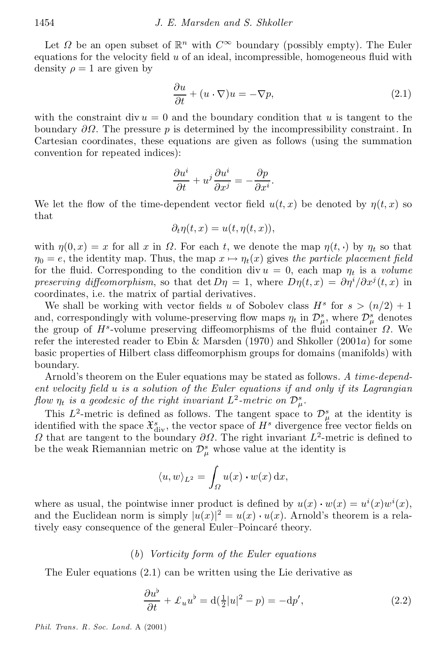Let  $\Omega$  be an open subset of  $\mathbb{R}^n$  with  $C^{\infty}$  boundary (possibly empty). The Euler equations for the velocity field  $u$  of an ideal, incompressible, homogeneous fluid with density  $\rho = 1$  are given by

$$
\frac{\partial u}{\partial t} + (u \cdot \nabla)u = -\nabla p,\tag{2.1}
$$

with the constraint div  $u = 0$  and the boundary condition that u is tangent to the boundary  $\partial\Omega$ . The pressure p is determined by the incompressibility constraint. In Cartesian coordinates, these equations are given as follows (using the summation convention for repeated indices):

$$
\frac{\partial u^i}{\partial t} + u^j \frac{\partial u^i}{\partial x^j} = -\frac{\partial p}{\partial x^i}.
$$

We let the flow of the time-dependent vector field  $u(t, x)$  be denoted by  $\eta(t, x)$  so that

$$
\partial_t \eta(t,x) = u(t, \eta(t,x)),
$$

with  $\eta(0, x) = x$  for all x in  $\Omega$ . For each t, we denote the map  $\eta(t, \cdot)$  by  $\eta_t$  so that  $\eta_0 = e$ , the identity map. Thus, the map  $x \mapsto \eta_t(x)$  gives the particle placement field for the fluid. Corresponding to the condition div  $u = 0$ , each map  $\eta_t$  is a *volume preserving diffeomorphism*, so that det  $D\eta = 1$ , where  $D\eta(t, x) = \partial \eta^{i}/\partial x^{j}(t, x)$  in coordinates, i.e. the matrix of partial derivatives.

We shall be working with vector fields u of Sobolev class  $H^s$  for  $s > (n/2) + 1$ and, correspondingly with volume-preserving flow maps  $\eta_t$  in  $\mathcal{D}^s_\mu$ , where  $\mathcal{D}^s_\mu$  denotes the group of  $H^s$ -volume preserving diffeomorphisms of the fluid container  $\Omega$ . We refer the interested reader to Ebin & Marsden (1970) and Shkoller (2001a) for some basic properties of Hilbert class diffeomorphism groups for domains (manifolds) with boundary.

Arnold's theorem on the Euler equations may be stated as follows. *A time-depend ent velocity ¯eld* u *is a solution of the Euler equations if and only if its Lagrangian* flow  $\eta_t$  is a geodesic of the right invariant  $L^2$ -metric on  $\mathcal{D}^s_\mu$ .

This  $L^2$ -metric is defined as follows. The tangent space to  $\mathcal{D}^s_\mu$  at the identity is identified with the space  $\mathfrak{X}_{div}^s$ , the vector space of  $H^s$  divergence free vector fields on  $\Omega$  that are tangent to the boundary  $\partial\Omega$ . The right invariant  $L^2$ -metric is defined to be the weak Riemannian metric on  $\mathcal{D}_{\mu}^{s}$  whose value at the identity is

$$
\langle u, w \rangle_{L^2} = \int_{\Omega} u(x) \cdot w(x) \, \mathrm{d}x,
$$

where as usual, the pointwise inner product is defined by  $u(x) \cdot w(x) = u^{i}(x)w^{i}(x)$ , and the Euclidean norm is simply  $|u(x)|^2 = u(x) \cdot u(x)$ . Arnold's theorem is a relatively easy consequence of the general Euler-Poincaré theory.

#### (*b*) *Vorticity form of the Euler equations*

The Euler equations (2.1) can be written using the Lie derivative as

$$
\frac{\partial u^{\flat}}{\partial t} + \mathcal{L}_u u^{\flat} = d(\frac{1}{2}|u|^2 - p) = -dp', \qquad (2.2)
$$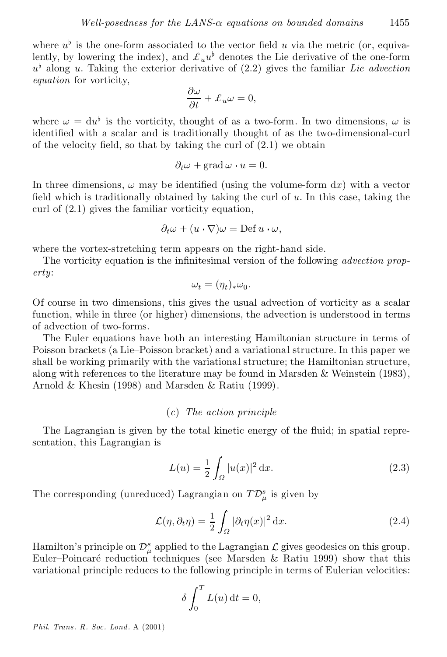where  $u^{\flat}$  is the one-form associated to the vector field u via the metric (or, equivalently, by lowering the index), and  $\mathcal{L}_u u^{\flat}$  denotes the Lie derivative of the one-form  $u^{\flat}$  along u. Taking the exterior derivative of  $(2.2)$  gives the familiar *Lie advection equation* for vorticity,

$$
\frac{\partial \omega}{\partial t} + \mathcal{L}_u \omega = 0,
$$

where  $\omega = du^{\flat}$  is the vorticity, thought of as a two-form. In two dimensions,  $\omega$  is identified with a scalar and is traditionally thought of as the two-dimensional-curl of the velocity field, so that by taking the curl of  $(2.1)$  we obtain

$$
\partial_t \omega + \text{grad}\,\omega \cdot u = 0.
$$

In three dimensions,  $\omega$  may be identified (using the volume-form dx) with a vector field which is traditionally obtained by taking the curl of  $u$ . In this case, taking the curl of (2.1) gives the familiar vorticity equation,

$$
\partial_t \omega + (u \cdot \nabla)\omega = \mathrm{Def}\, u \cdot \omega,
$$

where the vortex-stretching term appears on the right-hand side.

The vorticity equation is the infinitesimal version of the following *advection property*:

$$
\omega_t = (\eta_t)_*\omega_0.
$$

Of course in two dimensions, this gives the usual advection of vorticity as a scalar function, while in three (or higher) dimensions, the advection is understood in terms of advection of two-forms.

The Euler equations have both an interesting Hamiltonian structure in terms of Poisson brackets (a Lie–Poisson bracket) and a variational structure. In this paper we shall be working primarily with the variational structure; the Hamiltonian structure, along with references to the literature may be found in Marsden  $\&$  Weinstein (1983), Arnold & Khesin (1998) and Marsden & Ratiu (1999).

# (*c*) *The action principle*

The Lagrangian is given by the total kinetic energy of the fluid; in spatial representation, this Lagrangian is

$$
L(u) = \frac{1}{2} \int_{\Omega} |u(x)|^2 dx.
$$
 (2.3)

The corresponding (unreduced) Lagrangian on  $T\mathcal{D}_{\mu}^{s}$  is given by

$$
\mathcal{L}(\eta, \partial_t \eta) = \frac{1}{2} \int_{\Omega} |\partial_t \eta(x)|^2 dx.
$$
 (2.4)

Hamilton's principle on  $\mathcal{D}^s_\mu$  applied to the Lagrangian  $\mathcal L$  gives geodesics on this group.<br>Euler-Poincaré reduction techniques (see Marsden & Ratiu 1999) show that this variational principle reduces to the following principle in terms of Eulerian velocities:

$$
\delta \int_0^T L(u) \, \mathrm{d}t = 0,
$$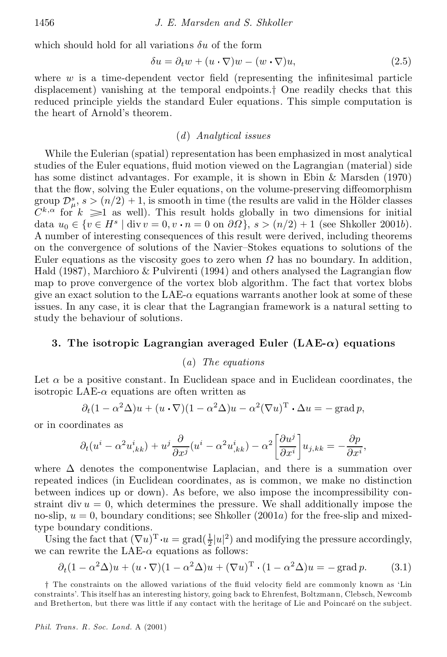which should hold for all variations  $\delta u$  of the form

$$
\delta u = \partial_t w + (u \cdot \nabla) w - (w \cdot \nabla) u,\tag{2.5}
$$

where  $w$  is a time-dependent vector field (representing the infinitesimal particle displacement) vanishing at the temporal endpoints.<sup>†</sup> One readily checks that this reduced principle yields the standard Euler equations. This simple computation is the heart of Arnold's theorem.

#### (*d*) *Analytical issues*

While the Eulerian (spatial) representation has been emphasized in most analytical studies of the Euler equations, fluid motion viewed on the Lagrangian (material) side has some distinct advantages. For example, it is shown in Ebin & Marsden (1970) that the flow, solving the Euler equations, on the volume-preserving diffeomorphism group  $\mathcal{D}_{\mu}^{s}$ ,  $s > (n/2) + 1$ , is smooth in time (the results are valid in the Hölder classes  $C^{k,\alpha}$  for  $k \geq 1$  as well). This result holds globally in two dimensions for initial data  $u_0 \in \{v \in H^s \mid \text{div } v = 0, v \cdot n = 0 \text{ on } \partial\Omega\}, s > (n/2) + 1 \text{ (see Shkoller 2001b)}.$ A number of interesting consequences of this result were derived, including theorems on the convergence of solutions of the Navier-Stokes equations to solutions of the Euler equations as the viscosity goes to zero when  $\Omega$  has no boundary. In addition, Hald  $(1987)$ , Marchioro & Pulvirenti  $(1994)$  and others analysed the Lagrangian flow map to prove convergence of the vortex blob algorithm. The fact that vortex blobs give an exact solution to the LAE- $\alpha$  equations warrants another look at some of these issues. In any case, it is clear that the Lagrangian framework is a natural setting to study the behaviour of solutions.

#### 3. The isotropic Lagrangian averaged Euler (LAE-*®*) equations

#### (*a*) *The equations*

Let  $\alpha$  be a positive constant. In Euclidean space and in Euclidean coordinates, the isotropic LAE- $\alpha$  equations are often written as

$$
\partial_t (1 - \alpha^2 \Delta) u + (u \cdot \nabla)(1 - \alpha^2 \Delta) u - \alpha^2 (\nabla u)^T \cdot \Delta u = -\operatorname{grad} p,
$$

or in coordinates as

$$
\partial_t (u^i - \alpha^2 u^i_{,kk}) + u^j \frac{\partial}{\partial x^j} (u^i - \alpha^2 u^i_{,kk}) - \alpha^2 \left[ \frac{\partial u^j}{\partial x^i} \right] u_{j,kk} = -\frac{\partial p}{\partial x^i},
$$

where  $\Delta$  denotes the componentwise Laplacian, and there is a summation over repeated indices (in Euclidean coordinates, as is common, we make no distinction between indices up or down). As before, we also impose the incompressibility con straint div  $u = 0$ , which determines the pressure. We shall additionally impose the no-slip,  $u = 0$ , boundary conditions; see Shkoller (2001a) for the free-slip and mixedtype boundary conditions.

Using the fact that  $(\nabla u)^T \cdot u = \text{grad}(\frac{1}{2}|u|^2)$  and modifying the pressure accordingly, we can rewrite the LAE- $\alpha$  equations as follows:

$$
\partial_t (1 - \alpha^2 \Delta) u + (u \cdot \nabla)(1 - \alpha^2 \Delta) u + (\nabla u)^{\mathrm{T}} \cdot (1 - \alpha^2 \Delta) u = -\operatorname{grad} p. \tag{3.1}
$$

<sup>†</sup> The constraints on the allowed variations of the fluid velocity field are commonly known as 'Lin constraints'. This itself has an interesting history, going back to Ehren fest, Boltzmann, Clebsch, Newcomb and Bretherton, but there was little if any contact with the heritage of Lie and Poincaré on the subject.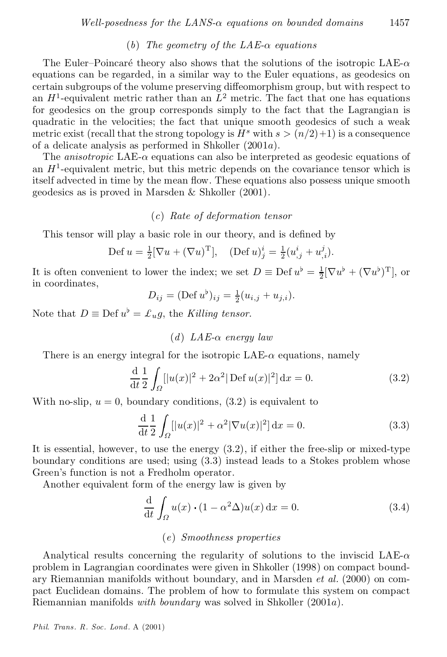# $(b)$  *The geometry of the LAE-* $\alpha$  *equations*

The Euler–Poincaré theory also shows that the solutions of the isotropic LAE- $\alpha$ equations can be regarded, in a similar way to the Euler equations, as geodesics on certain subgroups of the volume preserving diffeomorphism group, but with respect to an  $H^1$ -equivalent metric rather than an  $L^2$  metric. The fact that one has equations for geodesics on the group corresponds simply to the fact that the Lagrangian is quadratic in the velocities; the fact that unique smooth geodesics of such a weak metric exist (recall that the strong topology is  $H^s$  with  $s > (n/2)+1$ ) is a consequence of a delicate analysis as performed in Shkoller (2001a).

The *anisotropic* LAE- $\alpha$  equations can also be interpreted as geodesic equations of an  $H<sup>1</sup>$ -equivalent metric, but this metric depends on the covariance tensor which is itself advected in time by the mean flow. These equations also possess unique smooth geodesics as is proved in Marsden & Shkoller (2001).

# (*c*) *Rate of deformation tensor*

This tensor will play a basic role in our theory, and is defined by

$$
\text{Def } u = \frac{1}{2} [\nabla u + (\nabla u)^{\mathrm{T}}], \quad (\text{Def } u)_j^i = \frac{1}{2} (u_{,j}^i + u_{,i}^j).
$$

It is often convenient to lower the index; we set  $D \equiv \text{Def } u^{\flat} = \frac{1}{2} [\nabla u^{\flat} + (\nabla u^{\flat})^{\text{T}}]$ , or in coordinates,

$$
D_{ij} = (\text{Def } u^{\flat})_{ij} = \frac{1}{2}(u_{i,j} + u_{j,i}).
$$

Note that  $D \equiv \text{Def } u^{\flat} = \pounds_u g$ , the *Killing tensor*.

# $(d)$  *LAE-* $\alpha$  *energy law*

There is an energy integral for the isotropic  $LAE-\alpha$  equations, namely

$$
\frac{d}{dt} \frac{1}{2} \int_{\Omega} [|u(x)|^2 + 2\alpha^2| \operatorname{Def} u(x)|^2] dx = 0.
$$
 (3.2)

With no-slip,  $u = 0$ , boundary conditions,  $(3.2)$  is equivalent to

$$
\frac{d}{dt} \frac{1}{2} \int_{\Omega} [|u(x)|^2 + \alpha^2 |\nabla u(x)|^2] dx = 0.
$$
 (3.3)

It is essential, however, to use the energy (3.2), if either the free-slip or mixed-type boundary conditions are used; using (3.3) instead leads to a Stokes problem whose Green's function is not a Fredholm operator.

Another equivalent form of the energy law is given by

$$
\frac{\mathrm{d}}{\mathrm{d}t} \int_{\Omega} u(x) \cdot (1 - \alpha^2 \Delta) u(x) \, \mathrm{d}x = 0. \tag{3.4}
$$

#### (*e*) *Smoothness properties*

Analytical results concerning the regularity of solutions to the inviscid LAE- $\alpha$ problem in Lagrangian coordinates were given in Shkoller (1998) on compact bound ary Riemannian manifolds without boundary, and in Marsden *et al.* (2000) on com pact Euclidean domains. The problem of how to formulate this system on compact Riemannian manifolds *with boundary* was solved in Shkoller (2001a).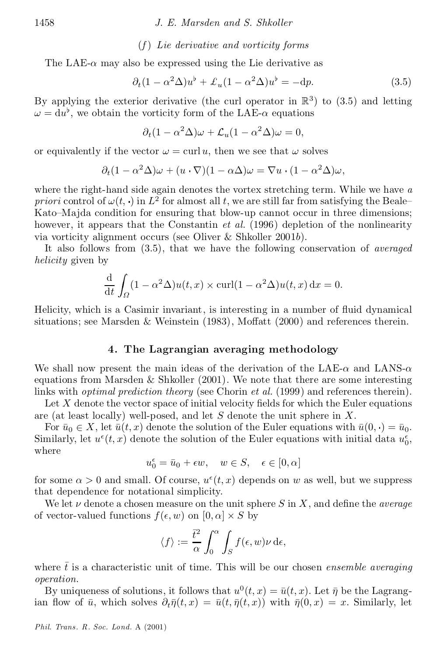#### (*f* ) *Lie derivative and vorticity forms*

The LAE- $\alpha$  may also be expressed using the Lie derivative as

$$
\partial_t (1 - \alpha^2 \Delta) u^{\flat} + \mathcal{L}_u (1 - \alpha^2 \Delta) u^{\flat} = -dp. \tag{3.5}
$$

By applying the exterior derivative (the curl operator in  $\mathbb{R}^3$ ) to (3.5) and letting  $\omega = du^{\flat}$ , we obtain the vorticity form of the LAE- $\alpha$  equations

$$
\partial_t (1 - \alpha^2 \Delta) \omega + \mathcal{L}_u (1 - \alpha^2 \Delta) \omega = 0,
$$

or equivalently if the vector  $\omega = \text{curl } u$ , then we see that  $\omega$  solves

$$
\partial_t (1 - \alpha^2 \Delta) \omega + (u \cdot \nabla)(1 - \alpha \Delta) \omega = \nabla u \cdot (1 - \alpha^2 \Delta) \omega,
$$

where the right-hand side again denotes the vortex stretching term. While we have *a priori* control of  $\omega(t, \cdot)$  in  $L^2$  for almost all t, we are still far from satisfying the Beale Kato–Majda condition for ensuring that blow-up cannot occur in three dimensions; however, it appears that the Constantin *et al.* (1996) depletion of the nonlinearity via vorticity alignment occurs (see Oliver & Shkoller 2001b).

It also follows from (3.5), that we have the following conservation of *averaged helicity* given by

$$
\frac{d}{dt} \int_{\Omega} (1 - \alpha^2 \Delta) u(t, x) \times \operatorname{curl} (1 - \alpha^2 \Delta) u(t, x) dx = 0.
$$

Helicity, which is a Casimir invariant, is interesting in a number of fluid dynamical situations; see Marsden & Weinstein  $(1983)$ , Moffatt  $(2000)$  and references therein.

#### 4. The Lagrangian averaging methodology

We shall now present the main ideas of the derivation of the LAE- $\alpha$  and LANS- $\alpha$ equations from Marsden  $\&$  Shkoller (2001). We note that there are some interesting links with *optimal prediction theory* (see Chorin *et al.* (1999) and references therein).

Let  $X$  denote the vector space of initial velocity fields for which the Euler equations are (at least locally) well-posed, and let  $S$  denote the unit sphere in  $X$ .

For  $\bar{u}_0 \in X$ , let  $\bar{u}(t, x)$  denote the solution of the Euler equations with  $\bar{u}(0, \cdot) = \bar{u}_0$ .<br>Similarly, let  $u^{\epsilon}(t, x)$  denote the solution of the Euler equations with initial data  $u_0^{\epsilon}$ , where

$$
u_0^{\epsilon} = \bar{u}_0 + \epsilon w, \quad w \in S, \quad \epsilon \in [0, \alpha]
$$

for some  $\alpha > 0$  and small. Of course,  $u^{\epsilon}(t, x)$  depends on w as well, but we suppress that dependence for notational simplicity.

We let  $\nu$  denote a chosen measure on the unit sphere  $S$  in  $X$ , and define the *average* of vector-valued functions  $f(\epsilon, w)$  on  $[0, \alpha] \times S$  by

$$
\langle f \rangle := \frac{\bar{t}^2}{\alpha} \int_0^{\alpha} \int_S f(\epsilon, w) \nu \, \mathrm{d}\epsilon,
$$

where  $\bar{t}$  is a characteristic unit of time. This will be our chosen *ensemble averaging operation*.

By uniqueness of solutions, it follows that  $u^0(t, x) = \bar{u}(t, x)$ . Let  $\bar{\eta}$  be the Lagrangian flow of  $\bar{u}$ , which solves  $\partial_t \bar{\eta}(t, x) = \bar{u}(t, \bar{\eta}(t, x))$  with  $\bar{\eta}(0, x) = x$ . Similarly, let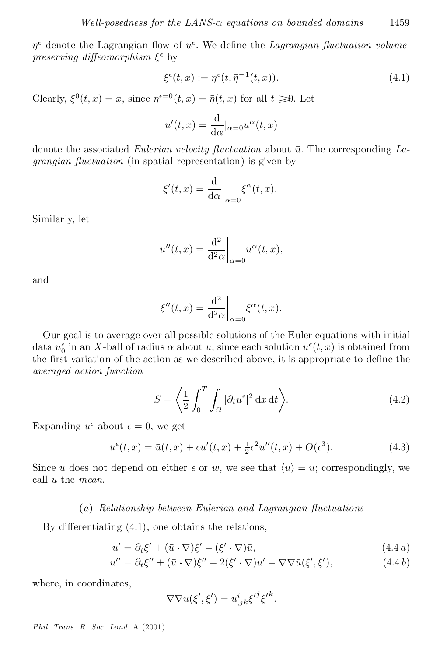$\eta^{\epsilon}$  denote the Lagrangian flow of  $u^{\epsilon}$ . We define the *Lagrangian fluctuation volume* $preserving$  *diffeomorphism*  $\xi^{\epsilon}$  by

$$
\xi^{\epsilon}(t,x) := \eta^{\epsilon}(t,\bar{\eta}^{-1}(t,x)). \tag{4.1}
$$

Clearly,  $\xi^0(t, x) = x$ , since  $\eta^{\epsilon=0}(t, x) = \bar{\eta}(t, x)$  for all  $t \geq 0$ . Let

$$
u'(t,x) = \frac{\mathrm{d}}{\mathrm{d}\alpha}|_{\alpha=0} u^{\alpha}(t,x)
$$

denote the associated *Eulerian velocity fluctuation* about  $\bar{u}$ . The corresponding *Lagrangian fluctuation* (in spatial representation) is given by

$$
\xi'(t,x) = \frac{\mathrm{d}}{\mathrm{d}\alpha}\bigg|_{\alpha=0} \xi^{\alpha}(t,x).
$$

Similarly, let

$$
u''(t,x) = \frac{\mathrm{d}^2}{\mathrm{d}^2 \alpha} \bigg|_{\alpha=0} u^{\alpha}(t,x),
$$

and

$$
\xi''(t,x) = \frac{\mathrm{d}^2}{\mathrm{d}^2 \alpha} \bigg|_{\alpha=0} \xi^{\alpha}(t,x).
$$

Our goal is to average over all possible solutions of the Euler equations with initial data  $u_0^{\epsilon}$  in an X-ball of radius  $\alpha$  about  $\bar{u}$ ; since each solution  $u^{\epsilon}(t, x)$  is obtained from the first variation of the action as we described above, it is appropriate to define the *averaged action function*

$$
\bar{S} = \left\langle \frac{1}{2} \int_0^T \int_{\Omega} |\partial_t u^{\epsilon}|^2 dx dt \right\rangle.
$$
 (4.2)

Expanding  $u^{\epsilon}$  about  $\epsilon = 0$ , we get

$$
u^{\epsilon}(t,x) = \bar{u}(t,x) + \epsilon u'(t,x) + \frac{1}{2}\epsilon^2 u''(t,x) + O(\epsilon^3).
$$
 (4.3)

Since  $\bar{u}$  does not depend on either  $\epsilon$  or w, we see that  $\langle \bar{u} \rangle = \bar{u}$ ; correspondingly, we call  $\bar{u}$  the *mean*.

#### (*a*) *Relationship between Eulerian and Lagrangian °uctuations*

By differentiating  $(4.1)$ , one obtains the relations,

$$
u' = \partial_t \xi' + (\bar{u} \cdot \nabla)\xi' - (\xi' \cdot \nabla)\bar{u},\tag{4.4a}
$$

$$
u'' = \partial_t \xi'' + (\bar{u} \cdot \nabla)\xi'' - 2(\xi' \cdot \nabla)u' - \nabla\nabla\bar{u}(\xi', \xi'), \qquad (4.4b)
$$

where, in coordinates,

$$
\nabla \nabla \bar{u}(\xi',\xi') = \bar{u}_{,jk}^i {\xi'}^j {\xi'}^k.
$$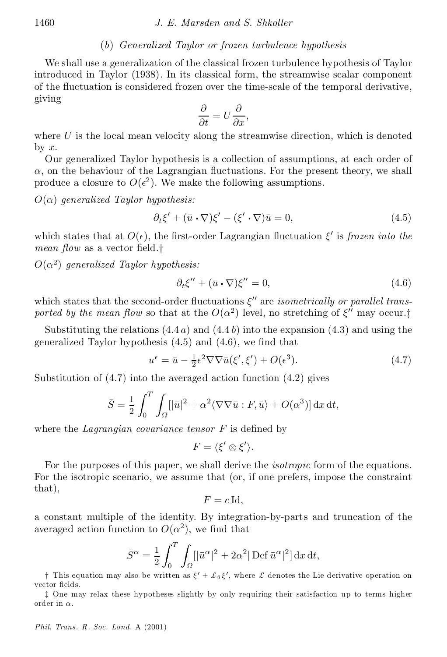### (*b*) *Generalized Taylor or frozen turbulence hypothesis*

We shall use a generalization of the classical frozen turbulence hypothesis of Taylor introduced in Taylor (1938). In its classical form, the streamwise scalar component of the fluctuation is considered frozen over the time-scale of the temporal derivative, giving

$$
\frac{\partial}{\partial t} = U \frac{\partial}{\partial x},
$$

where  $U$  is the local mean velocity along the streamwise direction, which is denoted by  $x$ .

Our generalized Taylor hypothesis is a collection of assumptions, at each order of  $\alpha$ , on the behaviour of the Lagrangian fluctuations. For the present theory, we shall produce a closure to  $O(\epsilon^2)$ . We make the following assumptions.

 $O(\alpha)$  generalized Taylor hypothesis:

$$
\partial_t \xi' + (\bar{u} \cdot \nabla)\xi' - (\xi' \cdot \nabla)\bar{u} = 0, \qquad (4.5)
$$

which states that at  $O(\epsilon)$ , the first-order Lagrangian fluctuation  $\xi'$  is *frozen into* the *mean flow* as a vector field.<sup>†</sup>

 $O(\alpha^2)$  generalized Taylor hypothesis:

$$
\partial_t \xi'' + (\bar{u} \cdot \nabla)\xi'' = 0, \qquad (4.6)
$$

which states that the second-order fluctuations  $\xi''$  are *isometrically* or parallel trans*ported by the mean flow* so that at the  $O(\alpha^2)$  level, no stretching of  $\xi''$  may occur.<sup>†</sup>

Substituting the relations  $(4.4 a)$  and  $(4.4 b)$  into the expansion  $(4.3)$  and using the generalized Taylor hypothesis  $(4.5)$  and  $(4.6)$ , we find that

$$
u^{\epsilon} = \bar{u} - \frac{1}{2}\epsilon^2 \nabla \nabla \bar{u}(\xi', \xi') + O(\epsilon^3). \tag{4.7}
$$

Substitution of (4.7) into the averaged action function (4.2) gives

$$
\bar{S} = \frac{1}{2} \int_0^T \int_{\Omega} [|\bar{u}|^2 + \alpha^2 \langle \nabla \nabla \bar{u} : F, \bar{u} \rangle + O(\alpha^3)] \, \mathrm{d}x \, \mathrm{d}t,
$$

where the *Lagrangian covariance tensor*  $F$  is defined by

$$
F=\langle \xi'\otimes \xi'\rangle.
$$

For the purposes of this paper, we shall derive the *isotropic* form of the equations. For the isotropic scenario, we assume that (or, if one prefers, impose the constraint that),

$$
F = c \operatorname{Id},
$$

a constant multiple of the identity. By integration-by-parts and truncation of the averaged action function to  $O(\alpha^2)$ , we find that

$$
\bar{S}^{\alpha} = \frac{1}{2} \int_0^T \int_{\Omega} [|\bar{u}^{\alpha}|^2 + 2\alpha^2 |\operatorname{Def} \bar{u}^{\alpha}|^2] \, \mathrm{d}x \, \mathrm{d}t,
$$

† This equation may also be written as  $\xi' + \pounds_{\bar{u}} \xi'$ , where  $\pounds$  denotes the Lie derivative operation on vector fields.

z One may relax these hypotheses slightly by only requiring their satisfaction up to terms higher order in  $\alpha$ .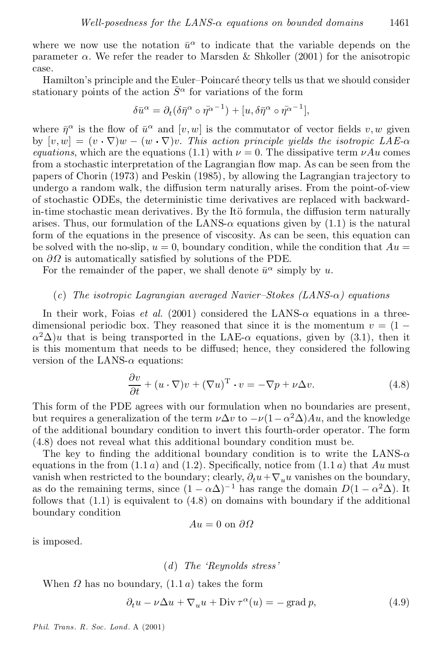where we now use the notation  $\bar{u}^{\alpha}$  to indicate that the variable depends on the parameter  $\alpha$ . We refer the reader to Marsden & Shkoller (2001) for the anisotropic case.

Hamilton's principle and the Euler-Poincaré theory tells us that we should consider stationary points of the action  $\bar{S}^{\alpha}$  for variations of the form

$$
\delta \bar{u}^\alpha = \partial_t (\delta \bar{\eta}^\alpha \circ \bar{\eta^{\alpha}}^{-1}) + [u, \delta \bar{\eta}^\alpha \circ \bar{\eta^{\alpha}}^{-1}],
$$

where  $\bar{\eta}^{\alpha}$  is the flow of  $\bar{u}^{\alpha}$  and  $[v, w]$  is the commutator of vector fields  $v, w$  given by  $[v, w] = (v \cdot \nabla)w - (w \cdot \nabla)v$ . This action principle yields the *isotropic* LAE- $\alpha$ *equations*, which are the equations (1.1) with  $\nu = 0$ . The dissipative term  $\nu Au$  comes from a stochastic interpretation of the Lagrangian flow map. As can be seen from the papers of Chorin (1973) and Peskin (1985), by allowing the Lagrangian trajectory to undergo a random walk, the diffusion term naturally arises. From the point-of-view of stochastic ODEs, the deterministic time derivatives are replaced with backwardin-time stochastic mean derivatives. By the Itö formula, the diffusion term naturally arises. Thus, our formulation of the LANS- $\alpha$  equations given by (1.1) is the natural form of the equations in the presence of viscosity. As can be seen, this equation can be solved with the no-slip,  $u = 0$ , boundary condition, while the condition that  $Au =$ on  $\partial\Omega$  is automatically satisfied by solutions of the PDE.

For the remainder of the paper, we shall denote  $\bar{u}^{\alpha}$  simply by u.

#### $(c)$  *The isotropic Lagrangian averaged Navier-Stokes*  $(LANS-\alpha)$  *equations*

In their work, Foias *et al.* (2001) considered the LANS- $\alpha$  equations in a threedimensional periodic box. They reasoned that since it is the momentum  $v = (1 \alpha^2\Delta$ )u that is being transported in the LAE- $\alpha$  equations, given by (3.1), then it is this momentum that needs to be diffused; hence, they considered the following version of the LANS- $\alpha$  equations:

$$
\frac{\partial v}{\partial t} + (u \cdot \nabla)v + (\nabla u)^{\mathrm{T}} \cdot v = -\nabla p + \nu \Delta v.
$$
 (4.8)

This form of the PDE agrees with our formulation when no boundaries are present, but requires a generalization of the term  $\nu \Delta v$  to  $-\nu (1 - \alpha^2 \Delta) A u$ , and the knowledge of the additional boundary condition to invert this fourth-order operator. The form (4.8) does not reveal what this additional boundary condition must be.

The key to finding the additional boundary condition is to write the LANS- $\alpha$ equations in the from  $(1.1 a)$  and  $(1.2)$ . Specifically, notice from  $(1.1 a)$  that Au must vanish when restricted to the boundary; clearly,  $\partial_t u + \nabla_u u$  vanishes on the boundary, as do the remaining terms, since  $(1 - \alpha \Delta)^{-1}$  has range the domain  $D(1 - \alpha^2 \Delta)$ . It follows that  $(1.1)$  is equivalent to  $(4.8)$  on domains with boundary if the additional boundary condition

$$
Au = 0 \text{ on } \partial\Omega
$$

is imposed.

(*d*) *The `Reynolds stress'*

When  $\Omega$  has no boundary,  $(1.1 a)$  takes the form

$$
\partial_t u - \nu \Delta u + \nabla_u u + \text{Div}\,\tau^\alpha(u) = -\text{grad }p,\tag{4.9}
$$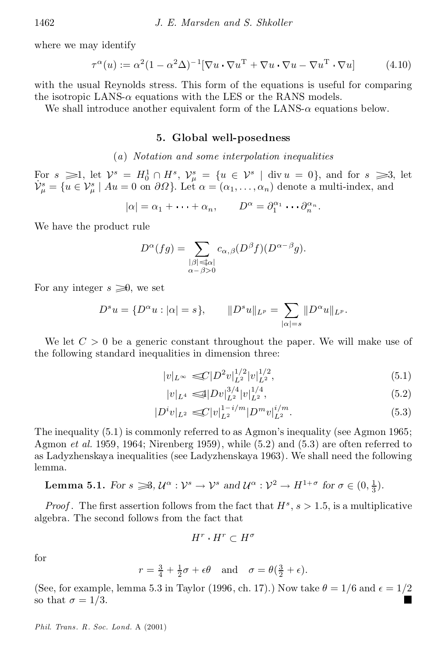where we may identify

$$
\tau^{\alpha}(u) := \alpha^2 (1 - \alpha^2 \Delta)^{-1} [\nabla u \cdot \nabla u^{\mathrm{T}} + \nabla u \cdot \nabla u - \nabla u^{\mathrm{T}} \cdot \nabla u] \tag{4.10}
$$

with the usual Reynolds stress. This form of the equations is useful for comparing the isotropic LANS- $\alpha$  equations with the LES or the RANS models.

We shall introduce another equivalent form of the LANS- $\alpha$  equations below.

#### 5. Global well-posedness

#### (*a*) *Notation and some interpolation inequalities*

For  $s \geq 1$ , let  $\mathcal{V}^s = H_0^1 \cap H^s$ ,  $\mathcal{V}^s_\mu = \{u \in \mathcal{V}^s \mid \text{div } u = 0\}$ , and for  $s \geq 3$ , let  $\mathcal{V}_{\mu}^s = \{u \in \mathcal{V}_{\mu}^s \mid Au = 0 \text{ on } \partial\Omega\}$ . Let  $\alpha = (\alpha_1, \dots, \alpha_n)$  denote a multi-index, and

$$
|\alpha| = \alpha_1 + \dots + \alpha_n, \qquad D^{\alpha} = \partial_1^{\alpha_1} \cdots \partial_n^{\alpha_n}.
$$

We have the product rule

$$
D^{\alpha}(fg) = \sum_{\substack{|\beta| \leq \alpha \\ \alpha - \beta > 0}} c_{\alpha,\beta}(D^{\beta}f)(D^{\alpha - \beta}g).
$$

For any integer  $s \geq 0$ , we set

$$
D^{s}u = \{D^{\alpha}u : |\alpha| = s\}, \qquad \|D^{s}u\|_{L^{p}} = \sum_{|\alpha|=s} \|D^{\alpha}u\|_{L^{p}}.
$$

We let  $C > 0$  be a generic constant throughout the paper. We will make use of the following standard inequalities in dimension three:

$$
|v|_{L^{\infty}} \leq C|D^2v|_{L^2}^{1/2}|v|_{L^2}^{1/2}, \tag{5.1}
$$

$$
|v|_{L^4} \leq 1|Dv|_{L^2}^{3/4}|v|_{L^2}^{1/4},\tag{5.2}
$$

$$
|D^iv|_{L^2} \lll |v|_{L^2}^{1-i/m} |D^m v|_{L^2}^{i/m}.
$$
\n(5.3)

The inequality (5.1) is commonly referred to as Agmon's inequality (see Agmon 1965; Agmon *et al.* 1959, 1964; Nirenberg 1959), while (5.2) and (5.3) are often referred to as Ladyzhenskaya inequalities (see Ladyzhenskaya 1963). We shall need the following lemma.

# Lemma 5.1. *For*  $s \geq 3$ ,  $\mathcal{U}^{\alpha}: \mathcal{V}^{s} \to \mathcal{V}^{s}$  and  $\mathcal{U}^{\alpha}: \mathcal{V}^{2} \to H^{1+\sigma}$  for  $\sigma \in (0, \frac{1}{3})$ .

*Proof*. The first assertion follows from the fact that  $H^s$ ,  $s > 1.5$ , is a multiplicative algebra. The second follows from the fact that

$$
H^r \cdot H^r \subset H^\sigma
$$

for

$$
r = \frac{3}{4} + \frac{1}{2}\sigma + \epsilon\theta
$$
 and  $\sigma = \theta(\frac{3}{2} + \epsilon)$ .

(See, for example, lemma 5.3 in Taylor (1996, ch. 17).) Now take  $\theta = 1/6$  and  $\epsilon = 1/2$ so that  $\sigma = 1/3$ .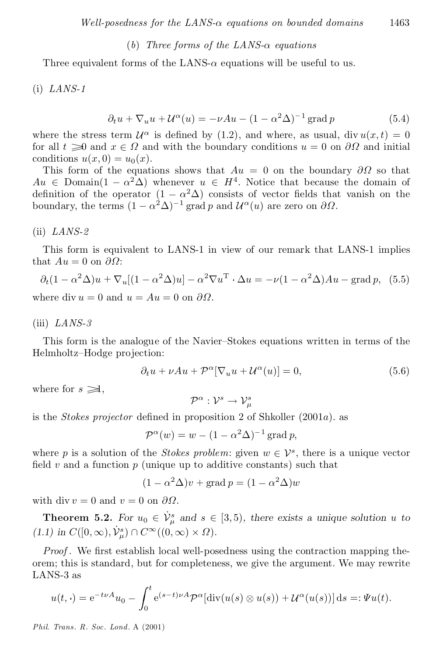#### $(b)$  *Three forms of the LANS-* $\alpha$  *equations*

Three equivalent forms of the LANS- $\alpha$  equations will be useful to us.

(i) *LANS-1*

$$
\partial_t u + \nabla_u u + \mathcal{U}^\alpha(u) = -\nu A u - (1 - \alpha^2 \Delta)^{-1} \operatorname{grad} p \tag{5.4}
$$

where the stress term  $\mathcal{U}^{\alpha}$  is defined by (1.2), and where, as usual, div  $u(x,t) = 0$ for all  $t \geq 0$  and  $x \in \Omega$  and with the boundary conditions  $u = 0$  on  $\partial \Omega$  and initial conditions  $u(x, 0) = u_0(x)$ .

This form of the equations shows that  $Au = 0$  on the boundary  $\partial\Omega$  so that  $Au \in \text{Domain}(1 - \alpha^2 \Delta)$  whenever  $u \in H^4$ . Notice that because the domain of definition of the operator  $(1 - \alpha^2 \Delta)$  consists of vector fields that vanish on the boundary, the terms  $(1 - \alpha^2 \Delta)^{-1}$  grad p and  $\mathcal{U}^{\alpha}(u)$  are zero on  $\partial \Omega$ .

#### (ii) *LANS-2*

This form is equivalent to LANS-1 in view of our remark that LANS-1 implies that  $Au = 0$  on  $\partial\Omega$ :

$$
\partial_t (1 - \alpha^2 \Delta) u + \nabla_u [(1 - \alpha^2 \Delta) u] - \alpha^2 \nabla u^T \cdot \Delta u = -\nu (1 - \alpha^2 \Delta) A u - \text{grad } p, \tag{5.5}
$$

where div  $u = 0$  and  $u = Au = 0$  on  $\partial\Omega$ .

#### (iii) *LANS-3*

This form is the analogue of the Navier-Stokes equations written in terms of the Helmholtz-Hodge projection:

$$
\partial_t u + \nu A u + \mathcal{P}^{\alpha} [\nabla_u u + \mathcal{U}^{\alpha}(u)] = 0, \qquad (5.6)
$$

where for  $s \geq 1$ ,

$$
\mathcal{P}^\alpha:\mathcal{V}^s\rightarrow \mathcal{V}^s_\mu
$$

is the *Stokes projector* defined in proposition 2 of Shkoller  $(2001a)$ . as

$$
\mathcal{P}^{\alpha}(w) = w - (1 - \alpha^2 \Delta)^{-1} \operatorname{grad} p,
$$

where p is a solution of the *Stokes problem*: given  $w \in \mathcal{V}^s$ , there is a unique vector field  $v$  and a function  $p$  (unique up to additive constants) such that

$$
(1 - \alpha^2 \Delta)v + \text{grad } p = (1 - \alpha^2 \Delta)w
$$

with div  $v = 0$  and  $v = 0$  on  $\partial\Omega$ .

**Theorem 5.2.** For  $u_0 \in V_\mu^s$  and  $s \in [3, 5)$ , there exists a unique solution u to  $(1.1)$  *in*  $C([0,\infty), \dot{\mathcal{V}}^s_\mu) \cap C^\infty((0,\infty) \times \Omega)$ .

*Proof*. We first establish local well-posedness using the contraction mapping theorem; this is standard, but for completeness, we give the argument. We may rewrite LANS-3 as

$$
u(t,\cdot) = e^{-t\nu A}u_0 - \int_0^t e^{(s-t)\nu A} \mathcal{P}^{\alpha}[\text{div}(u(s)\otimes u(s)) + \mathcal{U}^{\alpha}(u(s))] ds =: \Psi u(t).
$$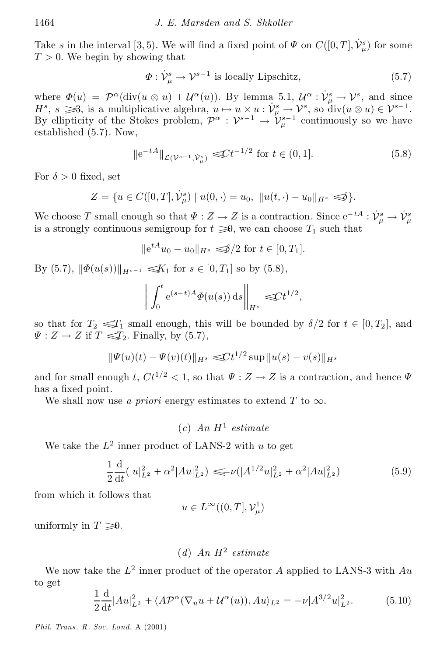Take s in the interval [3, 5). We will find a fixed point of  $\Psi$  on  $C([0,T], \dot{\mathcal{V}}^s_\mu)$  for some  $T > 0$ . We begin by showing that

$$
\Phi: \dot{\mathcal{V}}_{\mu}^{s} \to \mathcal{V}^{s-1} \text{ is locally Lipschitz},\tag{5.7}
$$

where  $\Phi(u) = \mathcal{P}^{\alpha}(\text{div}(u \otimes u) + \mathcal{U}^{\alpha}(u))$ . By lemma 5.1,  $\mathcal{U}^{\alpha} : \dot{\mathcal{V}}_{\mu}^{s} \to \mathcal{V}^{s}$ , and since  $H^s$ ,  $s \geq 3$ , is a multiplicative algebra,  $u \mapsto u \times u : V^s_{\mu} \mapsto V^s$ , so div $(u \otimes u) \in V^{s-1}$ . By ellipticity of the Stokes problem,  $\mathcal{P}^{\alpha}: \mathcal{V}^{s-1} \to \mathcal{V}^{s-1}_{\mu}$  continuously so we have established (5.7). Now,

$$
\|e^{-tA}\|_{\mathcal{L}(\mathcal{V}^{s-1}, \dot{\mathcal{V}}^s_{\mu})} \leq C t^{-1/2} \text{ for } t \in (0, 1]. \tag{5.8}
$$

For  $\delta > 0$  fixed, set

$$
Z = \{ u \in C([0, T], \dot{\mathcal{V}}^s_\mu) \mid u(0, \cdot) = u_0, \, \| u(t, \cdot) - u_0 \|_{H^s} \leq \delta \}.
$$

We choose T small enough so that  $\Psi : Z \to Z$  is a contraction. Since  $e^{-tA} : \dot{\mathcal{V}}_u^s \to \dot{\mathcal{V}}_u^s$ is a strongly continuous semigroup for  $t \geq 0$ , we can choose  $T_1$  such that

$$
\|e^{tA}u_0 - u_0\|_{H^s} \leq 2/2 \text{ for } t \in [0, T_1].
$$

By (5.7),  $\|\Phi(u(s))\|_{H^{s-1}} \leq K_1$  for  $s \in [0, T_1]$  so by (5.8),

$$
\left\| \int_0^t e^{(s-t)A} \varPhi(u(s)) ds \right\|_{H^s} \leq C t^{1/2},
$$

so that for  $T_2 \leq T_1$  small enough, this will be bounded by  $\delta/2$  for  $t \in [0, T_2]$ , and  $\Psi : Z \to Z$  if  $T \leq T_2$ . Finally, by (5.7),

$$
\|\Psi(u)(t)-\Psi(v)(t)\|_{H^s} \leq C t^{1/2} \sup \|u(s)-v(s)\|_{H^s}
$$

and for small enough t,  $Ct^{1/2} < 1$ , so that  $\Psi : Z \to Z$  is a contraction, and hence  $\Psi$ has a fixed point.

We shall now use *a priori* energy estimates to extend  $T$  to  $\infty$ .

$$
(c) \ An \ H^1 \ estimate
$$

We take the  $L^2$  inner product of LANS-2 with u to get

$$
\frac{1}{2}\frac{\mathrm{d}}{\mathrm{d}t}(|u|_{L^2}^2 + \alpha^2 |Au|_{L^2}^2) \leqslant \nu(|A^{1/2}u|_{L^2}^2 + \alpha^2 |Au|_{L^2}^2) \tag{5.9}
$$

from which it follows that

$$
u\in L^\infty((0,T],\mathcal{V}^1_\mu)
$$

uniformly in  $T \geq 0$ .

# (*d*) *An* H<sup>2</sup> *estimate*

We now take the  $L^2$  inner product of the operator A applied to LANS-3 with  $Au$ to get

$$
\frac{1}{2}\frac{d}{dt}|Au|_{L^{2}}^{2} + \langle A\mathcal{P}^{\alpha}(\nabla_{u}u + \mathcal{U}^{\alpha}(u)), Au\rangle_{L^{2}} = -\nu|A^{3/2}u|_{L^{2}}^{2}.
$$
 (5.10)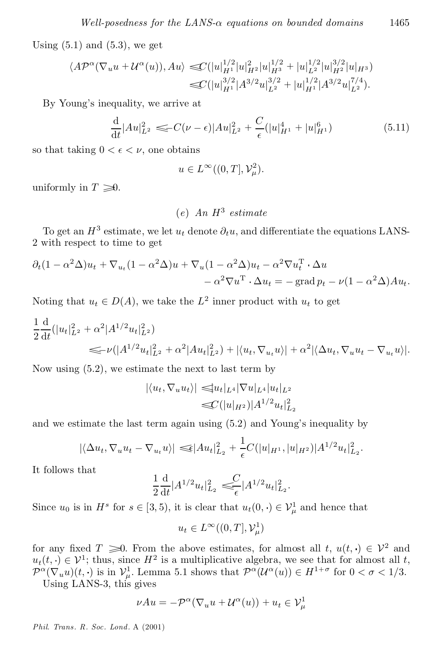Using  $(5.1)$  and  $(5.3)$ , we get

$$
\langle A \mathcal{P}^{\alpha} (\nabla_u u + \mathcal{U}^{\alpha} (u)), A u \rangle \lll (|u|_{H^1}^{1/2} |u|_{H^2}^2 |u|_{H^3}^{1/2} + |u|_{L^2}^{1/2} |u|_{H^2}^{3/2} |u|_{H^3})
$$
  

$$
\lll (|u|_{H^1}^{3/2} |A^{3/2} u|_{L^2}^{3/2} + |u|_{H^1}^{1/2} |A^{3/2} u|_{L^2}^{7/4}).
$$

By Young's inequality, we arrive at

$$
\frac{\mathrm{d}}{\mathrm{d}t}|Au|_{L^2}^2 \leq C(\nu - \epsilon)|Au|_{L^2}^2 + \frac{C}{\epsilon}(|u|_{H^1}^4 + |u|_{H^1}^6) \tag{5.11}
$$

so that taking  $0 < \epsilon < \nu$ , one obtains

$$
u \in L^{\infty}((0, T], \mathcal{V}_{\mu}^2).
$$

uniformly in  $T \geq 0$ .

(*e*) *An* H<sup>3</sup> *estimate*

To get an  $H^3$  estimate, we let  $u_t$  denote  $\partial_t u$ , and differentiate the equations LANS-2 with respect to time to get

$$
\partial_t (1 - \alpha^2 \Delta) u_t + \nabla_{u_t} (1 - \alpha^2 \Delta) u + \nabla_u (1 - \alpha^2 \Delta) u_t - \alpha^2 \nabla u_t^{\mathrm{T}} \cdot \Delta u \n- \alpha^2 \nabla u^{\mathrm{T}} \cdot \Delta u_t = -\operatorname{grad} p_t - \nu (1 - \alpha^2 \Delta) A u_t.
$$

Noting that  $u_t \in D(A)$ , we take the  $L^2$  inner product with  $u_t$  to get

$$
\frac{1}{2} \frac{d}{dt} (|u_t|_{L^2}^2 + \alpha^2 |A^{1/2} u_t|_{L^2}^2)
$$
  
\n
$$
\leq \nu (|A^{1/2} u_t|_{L^2}^2 + \alpha^2 |Au_t|_{L^2}^2) + |\langle u_t, \nabla_{u_t} u \rangle| + \alpha^2 |\langle \Delta u_t, \nabla_u u_t - \nabla_{u_t} u \rangle|.
$$

Now using (5.2), we estimate the next to last term by

$$
|\langle u_t, \nabla_u u_t \rangle| \leq |u_t|_{L^4} |\nabla u|_{L^4} |u_t|_{L^2}
$$
  

$$
\leq C(|u|_{H^2}) |A^{1/2} u_t|_{L_2}^2
$$

and we estimate the last term again using (5.2) and Young's inequality by

$$
|\langle \Delta u_t, \nabla_u u_t - \nabla_{u_t} u \rangle| \leq \epsilon |Au_t|_{L_2}^2 + \frac{1}{\epsilon} C(|u|_{H^1}, |u|_{H^2}) |A^{1/2} u_t|_{L_2}^2.
$$

It follows that

$$
\frac{1}{2}\frac{\mathrm{d}}{\mathrm{d}t}|A^{1/2}u_t|_{L_2}^2 \leqslant \frac{C}{\epsilon}|A^{1/2}u_t|_{L_2}^2.
$$

Since  $u_0$  is in  $H^s$  for  $s \in [3,5)$ , it is clear that  $u_t(0, \cdot) \in \mathcal{V}^1_\mu$  and hence that

$$
u_t \in L^{\infty}((0,T],\mathcal{V}_{\mu}^1)
$$

for any fixed  $T \geq 0$ . From the above estimates, for almost all  $t, u(t, \cdot) \in \mathcal{V}^2$  and  $u_t(t, \cdot) \in \mathcal{V}^1$ ; thus, since  $H^2$  is a multiplicative algebra, we see that for almost all t,  $\mathcal{P}^{\alpha}(\nabla_u u)(t, \cdot)$  is in  $\mathcal{V}^1_\mu$ . Lemma 5.1 shows that  $\mathcal{P}^{\alpha}(\mathcal{U}^{\alpha}(u)) \in H^{1+\sigma}$  for  $0 < \sigma < 1/3$ . Using LANS-3, this gives

$$
\nu Au = -\mathcal{P}^{\alpha}(\nabla_u u + \mathcal{U}^{\alpha}(u)) + u_t \in \mathcal{V}^1_{\mu}
$$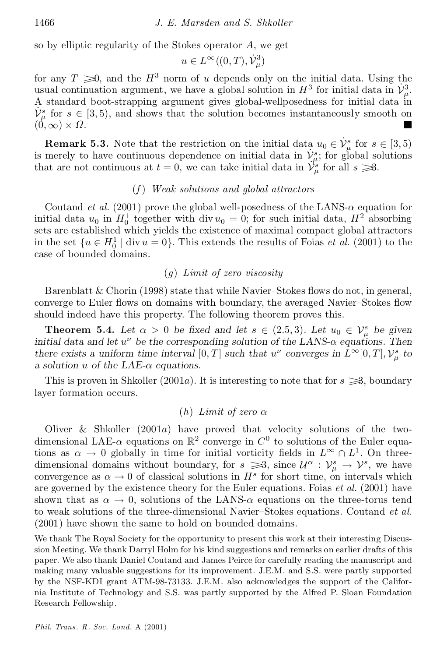so by elliptic regularity of the Stokes operator A, we get

$$
u \in L^{\infty}((0,T),\dot{\mathcal{V}}^3_{\mu})
$$

for any  $T \geq 0$ , and the  $H^3$  norm of u depends only on the initial data. Using the usual continuation argument, we have a global solution in  $H^3$  for initial data in  $\mathcal{V}^3_\mu$ . A standard boot-strapping argument gives global-wellposedness for initial data in  $\dot{V}^s_\mu$  for  $s \in [3, 5)$ , and shows that the solution becomes instantaneously smooth on  $(0,\infty) \times \Omega$ .

**Remark 5.3.** Note that the restriction on the initial data  $u_0 \in V_\mu^s$  for  $s \in [3, 5)$ is merely to have continuous dependence on initial data in  $\dot{\mathcal{V}}^s_{\mu}$ ; for global solutions that are not continuous at  $t = 0$ , we can take initial data in  $\mathcal{V}^u_{\mu}$ , for all  $s \gg 3$ .

# (*f* ) *Weak solutions and global attractors*

Coutand *et al.* (2001) prove the global well-posedness of the LANS- $\alpha$  equation for initial data  $u_0$  in  $H_0^1$  together with div  $u_0 = 0$ ; for such initial data,  $H^2$  absorbing sets are established which yields the existence of maximal compact global attractors in the set  $\{u \in H_0^1 \mid \text{div } u = 0\}$ . This extends the results of Foias *et al.* (2001) to the case of bounded domains.

# (*g*) *Limit of zero viscosity*

Barenblatt  $& Chorin (1998)$  state that while Navier-Stokes flows do not, in general, converge to Euler flows on domains with boundary, the averaged Navier-Stokes flow should indeed have this property. The following theorem proves this.

**Theorem 5.4.** Let  $\alpha > 0$  be fixed and let  $s \in (2.5, 3)$ . Let  $u_0 \in V^s_\mu$  be given *initial* data and let  $u^{\nu}$  be the corresponding solution of the LANS- $\alpha$  equations. Then *there exists* a *uniform time interval*  $[0, T]$  *such that*  $u^{\nu}$  *converges in*  $L^{\infty}[0, T]$ ,  $V_{\mu}^{s}$  *to a solution u of* the LAE- $\alpha$  *equations.* 

This is proven in Shkoller (2001a). It is interesting to note that for  $s \geq 3$ , boundary layer formation occurs.

#### $(h)$  *Limit of zero*  $\alpha$

Oliver & Shkoller (2001a) have proved that velocity solutions of the two dimensional LAE- $\alpha$  equations on  $\mathbb{R}^2$  converge in  $C^0$  to solutions of the Euler equations as  $\alpha \to 0$  globally in time for initial vorticity fields in  $L^{\infty} \cap L^{1}$ . On threedimensional domains without boundary, for  $s \geq 3$ , since  $\mathcal{U}^{\alpha}: \mathcal{V}_{\mu}^{s} \to \mathcal{V}^{s}$ , we have convergence as  $\alpha \to 0$  of classical solutions in  $H^s$  for short time, on intervals which are governed by the existence theory for the Euler equations. Foias *et al.* (2001) have shown that as  $\alpha \to 0$ , solutions of the LANS- $\alpha$  equations on the three-torus tend to weak solutions of the three-dimensional Navier-Stokes equations. Coutand *et al.* (2001) have shown the same to hold on bounded domains.

We thank The Royal Society for the opportunity to present this work at their interesting Discussion Meeting. We thank Darryl Holm forhis kind suggestions and remarks on earlier drafts of this paper. We also thank Daniel Coutand and James Peirce for carefully reading the manuscript and making many valuable suggestions for its improvement. J.E.M. and S.S. were partly supported by the NSF-KDI grant ATM-98-73133. J.E.M. also acknowledges the support of the Califor nia Institute of Technology and S.S. was partly supported by the Alfred P. Sloan Foundation Research Fellowship.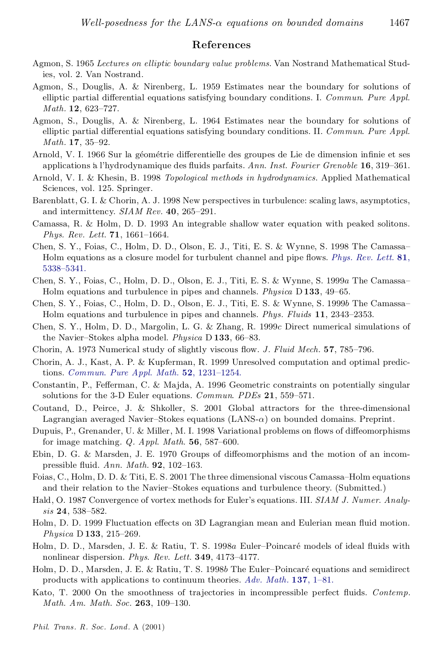# References

- Agmon, S. 1965 *Lectures on elliptic boundary value problems*. Van Nostrand Mathematical Studies, vol. 2. Van Nostrand.
- Agmon, S., Douglis, A. & Nirenberg, L. 1959 Estimates near the boundary for solutions of elliptic partial differential equations satisfying boundary conditions. I. *Commun. Pure Appl. Math.* 12, 623-727.
- Agmon, S., Douglis, A. & Nirenberg, L. 1964 Estimates near the boundary for solutions of elliptic partial differential equations satisfying boundary conditions. II. *Commun. Pure Appl. Math.* **17**, 35-92.
- Arnold, V. I. 1966 Sur la géométrie differentielle des groupes de Lie de dimension infinie et ses applications a l'hydrodynamique des fluids parfaits. *Ann. Inst. Fourier Grenoble* 16, 319–361.
- Arnold, V. I. & Khesin, B. 1998 *Topological methods in hydrodynamics*. Applied Mathematical Sciences, vol. 125. Springer.
- Barenblatt, G. I. & Chorin, A. J. 1998 New perspectives in turbulence: scaling laws, asymptotics, and intermittency.  $SIAM$   $Rev.$   $40, 265-291$ .
- Camassa, R. & Holm, D. D. 1993 An integrable shallow water equation with peaked solitons. *Phys. Rev. Lett.* **71**, 1661–1664.
- Chen, S. Y., Foias, C., Holm, D. D., Olson, E. J., Titi, E. S. & Wynne, S. 1998 The Camassa{ Holm equations as a closure model for turbulent channel and pipe flows. *[Phys.](http://operatix.catchword.com/nw=1/rpsv/0031-9007^28^2981L.5338[aid=1278776]) Rev. Lett.* 81, 5338-5341.
- Chen, S. Y., Foias, C., Holm, D. D., Olson, E. J., Titi, E. S. & Wynne, S. 1999a The Camassa{ Holm equations and turbulence in pipes and channels. *Physica* D 133, 49–65.
- Chen, S. Y., Foias, C., Holm, D. D., Olson, E. J., Titi, E. S. & Wynne, S. 1999b The Camassa-Holm equations and turbulence in pipes and channels. *Phys. Fluids* 11, 2343–2353.
- Chen, S. Y., Holm, D. D., Margolin, L. G. & Zhang, R. 1999c Direct numerical simulations of the Navier-Stokes alpha model. *Physica* D 133, 66-83.
- Chorin, A. 1973 Numerical study of slightly viscous flow. *J. Fluid Mech.* 57, 785-796.
- Chorin, A. J., Kast, A. P. & Kupferman, R. 1999 Unresolved computation and optimal predic tions. *Commun. Pure Appl. Math.* 52, 1231-1254.
- Constantin, P., Fefferman, C. & Majda, A. 1996 Geometric constraints on potentially singular solutions for the 3-D Euler equations. *Commun. PDEs* 21, 559–571.
- Coutand, D., Peirce, J. & Shkoller, S. 2001 Global attractors for the three-dimensional Lagrangian averaged Navier-Stokes equations  $(LANS-\alpha)$  on bounded domains. Preprint.
- Dupuis, P., Grenander, U. & Miller, M. I. 1998 Variational problems on flows of diffeomorphisms for image matching.  $Q.$  *Appl. Math.* 56, 587–600.
- Ebin, D. G. & Marsden, J. E. 1970 Groups of diffeomorphisms and the motion of an incompressible fluid. *Ann. Math.* **92**, 102–163.
- Foias, C., Holm, D. D. & Titi, E. S. 2001 The three dimensional viscous Camassa–Holm equations and their relation to the Navier-Stokes equations and turbulence theory. (Submitted.)
- Hald, O. 1987 Convergence of vortex methods for Euler's equations. III. *SIAM J. Numer. Analy sis* 24, 538-582.
- Holm, D. D. 1999 Fluctuation effects on 3D Lagrangian mean and Eulerian mean fluid motion. *Physica* D 133, 215-269.
- Holm, D. D., Marsden, J. E. & Ratiu, T. S. 1998a Euler-Poincaré models of ideal fluids with nonlinear dispersion. *Phys. Rev. Lett.* **349**, 4173-4177.
- Holm, D. D., Marsden, J. E. & Ratiu, T. S. 1998b The Euler-Poincaré equations and semidirect products with applications to continuum theories. Adv. [Math.](http://operatix.catchword.com/nw=1/rpsv/0001-8708^28^29137L.1[aid=1168368]) 137, 1-81.
- Kato, T. 2000 On the smoothness of trajectories in incompressible perfect fluids. *Contemp. Math. Am. Math. Soc.* 263, 109-130.